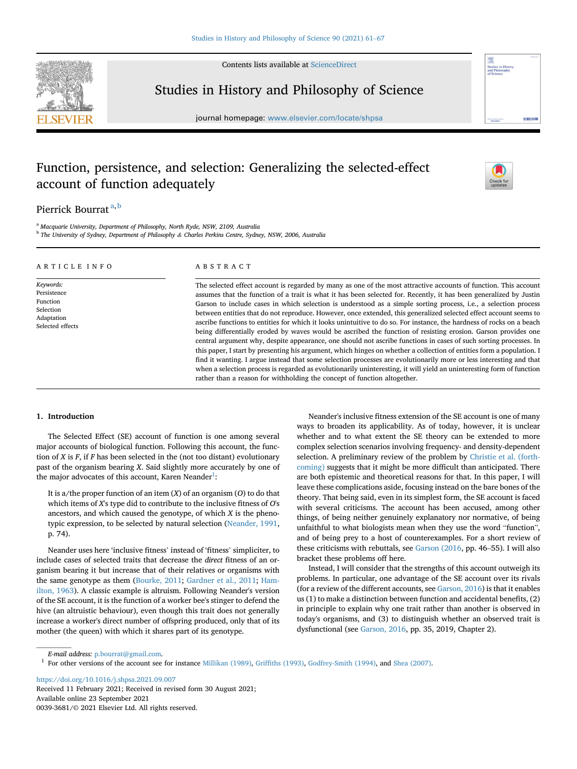

Contents lists available at [ScienceDirect](www.sciencedirect.com/science/journal/00393681)

# Studies in History and Philosophy of Science

journal homepage: <www.elsevier.com/locate/shpsa>

# Function, persistence, and selection: Generalizing the selected-effect account of function adequately



## Pierrick Bourrat [a](#page-0-0),[b](#page-0-1)

<span id="page-0-0"></span><sup>a</sup> Macquarie University, Department of Philosophy, North Ryde, NSW, 2109, Australia

<span id="page-0-1"></span><sup>b</sup> The University of Sydney, Department of Philosophy & Charles Perkins Centre, Sydney, NSW, 2006, Australia

| ARTICLE INFO                                                                        | ABSTRACT                                                                                                                                                                                                                                                                                                                                                                                                                                                                                                                                                                                                                                                                                                                                                                                                                                                                                                                                                                                                                                                                                                                                                                                                               |
|-------------------------------------------------------------------------------------|------------------------------------------------------------------------------------------------------------------------------------------------------------------------------------------------------------------------------------------------------------------------------------------------------------------------------------------------------------------------------------------------------------------------------------------------------------------------------------------------------------------------------------------------------------------------------------------------------------------------------------------------------------------------------------------------------------------------------------------------------------------------------------------------------------------------------------------------------------------------------------------------------------------------------------------------------------------------------------------------------------------------------------------------------------------------------------------------------------------------------------------------------------------------------------------------------------------------|
| Keywords:<br>Persistence<br>Function<br>Selection<br>Adaptation<br>Selected effects | The selected effect account is regarded by many as one of the most attractive accounts of function. This account<br>assumes that the function of a trait is what it has been selected for. Recently, it has been generalized by Justin<br>Garson to include cases in which selection is understood as a simple sorting process, i.e., a selection process<br>between entities that do not reproduce. However, once extended, this generalized selected effect account seems to<br>ascribe functions to entities for which it looks unintuitive to do so. For instance, the hardness of rocks on a beach<br>being differentially eroded by waves would be ascribed the function of resisting erosion. Garson provides one<br>central argument why, despite appearance, one should not ascribe functions in cases of such sorting processes. In<br>this paper, I start by presenting his argument, which hinges on whether a collection of entities form a population. I<br>find it wanting. I argue instead that some selection processes are evolutionarily more or less interesting and that<br>when a selection process is regarded as evolutionarily uninteresting, it will yield an uninteresting form of function |

rather than a reason for withholding the concept of function altogether.

### 1. Introduction

The Selected Effect (SE) account of function is one among several major accounts of biological function. Following this account, the function of  $X$  is  $F$ , if  $F$  has been selected in the (not too distant) evolutionary past of the organism bearing X. Said slightly more accurately by one of the major advocates of this account, Karen Neander $^1\!:$  $^1\!:$  $^1\!:$ 

It is a/the proper function of an item  $(X)$  of an organism  $(O)$  to do that which items of X's type did to contribute to the inclusive fitness of O's ancestors, and which caused the genotype, of which  $X$  is the phenotypic expression, to be selected by natural selection ([Neander, 1991,](#page-6-0) p. 74).

Neander uses here 'inclusive fitness' instead of 'fitness' simpliciter, to include cases of selected traits that decrease the direct fitness of an organism bearing it but increase that of their relatives or organisms with the same genotype as them [\(Bourke, 2011;](#page-5-0) [Gardner et al., 2011;](#page-6-1) [Ham](#page-6-2)[ilton, 1963](#page-6-2)). A classic example is altruism. Following Neander's version of the SE account, it is the function of a worker bee's stinger to defend the hive (an altruistic behaviour), even though this trait does not generally increase a worker's direct number of offspring produced, only that of its mother (the queen) with which it shares part of its genotype.

Neander's inclusive fitness extension of the SE account is one of many ways to broaden its applicability. As of today, however, it is unclear whether and to what extent the SE theory can be extended to more complex selection scenarios involving frequency- and density-dependent selection. A preliminary review of the problem by [Christie et al. \(forth](#page-6-3)[coming\)](#page-6-3) suggests that it might be more difficult than anticipated. There are both epistemic and theoretical reasons for that. In this paper, I will leave these complications aside, focusing instead on the bare bones of the theory. That being said, even in its simplest form, the SE account is faced with several criticisms. The account has been accused, among other things, of being neither genuinely explanatory nor normative, of being unfaithful to what biologists mean when they use the word "function", and of being prey to a host of counterexamples. For a short review of these criticisms with rebuttals, see [Garson \(2016,](#page-6-4) pp. 46–55). I will also bracket these problems off here.

Instead, I will consider that the strengths of this account outweigh its problems. In particular, one advantage of the SE account over its rivals (for a review of the different accounts, see [Garson, 2016\)](#page-6-4) is that it enables us (1) to make a distinction between function and accidental benefits, (2) in principle to explain why one trait rather than another is observed in today's organisms, and (3) to distinguish whether an observed trait is dysfunctional (see [Garson, 2016](#page-6-4), pp. 35, 2019, Chapter 2).

E-mail address: [p.bourrat@gmail.com](mailto:p.bourrat@gmail.com).

<https://doi.org/10.1016/j.shpsa.2021.09.007> Received 11 February 2021; Received in revised form 30 August 2021; Available online 23 September 2021

0039-3681/© 2021 Elsevier Ltd. All rights reserved.

<span id="page-0-2"></span><sup>1</sup> For other versions of the account see for instance [Millikan \(1989\),](#page-6-5) Griffi[ths \(1993\),](#page-6-6) [Godfrey-Smith \(1994\)](#page-6-7), and [Shea \(2007\)](#page-6-8).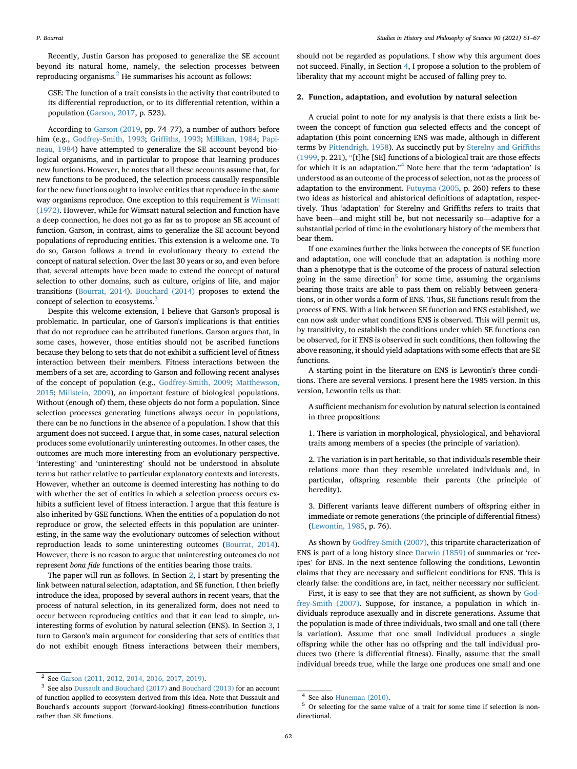Recently, Justin Garson has proposed to generalize the SE account beyond its natural home, namely, the selection processes between reproducing organisms. $<sup>2</sup>$  $<sup>2</sup>$  $<sup>2</sup>$  He summarises his account as follows:</sup>

GSE: The function of a trait consists in the activity that contributed to its differential reproduction, or to its differential retention, within a population ([Garson, 2017](#page-6-9), p. 523).

According to [Garson \(2019,](#page-6-10) pp. 74–77), a number of authors before him (e.g., [Godfrey-Smith, 1993;](#page-6-11) Griffi[ths, 1993](#page-6-6); [Millikan, 1984](#page-6-12); [Papi](#page-6-13)[neau, 1984](#page-6-13)) have attempted to generalize the SE account beyond biological organisms, and in particular to propose that learning produces new functions. However, he notes that all these accounts assume that, for new functions to be produced, the selection process causally responsible for the new functions ought to involve entities that reproduce in the same way organisms reproduce. One exception to this requirement is [Wimsatt](#page-6-14) [\(1972\)](#page-6-14). However, while for Wimsatt natural selection and function have a deep connection, he does not go as far as to propose an SE account of function. Garson, in contrast, aims to generalize the SE account beyond populations of reproducing entities. This extension is a welcome one. To do so, Garson follows a trend in evolutionary theory to extend the concept of natural selection. Over the last 30 years or so, and even before that, several attempts have been made to extend the concept of natural selection to other domains, such as culture, origins of life, and major transitions [\(Bourrat, 2014](#page-6-15)). [Bouchard \(2014\)](#page-5-1) proposes to extend the concept of selection to ecosystems.[3](#page-1-1)

Despite this welcome extension, I believe that Garson's proposal is problematic. In particular, one of Garson's implications is that entities that do not reproduce can be attributed functions. Garson argues that, in some cases, however, those entities should not be ascribed functions because they belong to sets that do not exhibit a sufficient level of fitness interaction between their members. Fitness interactions between the members of a set are, according to Garson and following recent analyses of the concept of population (e.g., [Godfrey-Smith, 2009](#page-6-16); [Matthewson,](#page-6-17) [2015;](#page-6-17) [Millstein, 2009](#page-6-18)), an important feature of biological populations. Without (enough of) them, these objects do not form a population. Since selection processes generating functions always occur in populations, there can be no functions in the absence of a population. I show that this argument does not succeed. I argue that, in some cases, natural selection produces some evolutionarily uninteresting outcomes. In other cases, the outcomes are much more interesting from an evolutionary perspective. 'Interesting' and 'uninteresting' should not be understood in absolute terms but rather relative to particular explanatory contexts and interests. However, whether an outcome is deemed interesting has nothing to do with whether the set of entities in which a selection process occurs exhibits a sufficient level of fitness interaction. I argue that this feature is also inherited by GSE functions. When the entities of a population do not reproduce or grow, the selected effects in this population are uninteresting, in the same way the evolutionary outcomes of selection without reproduction leads to some uninteresting outcomes ([Bourrat, 2014\)](#page-6-15). However, there is no reason to argue that uninteresting outcomes do not represent bona fide functions of the entities bearing those traits.

The paper will run as follows. In Section [2,](#page-1-2) I start by presenting the link between natural selection, adaptation, and SE function. I then briefly introduce the idea, proposed by several authors in recent years, that the process of natural selection, in its generalized form, does not need to occur between reproducing entities and that it can lead to simple, uninteresting forms of evolution by natural selection (ENS). In Section [3,](#page-3-0) I turn to Garson's main argument for considering that sets of entities that do not exhibit enough fitness interactions between their members,

should not be regarded as populations. I show why this argument does not succeed. Finally, in Section [4](#page-4-0), I propose a solution to the problem of liberality that my account might be accused of falling prey to.

#### <span id="page-1-2"></span>2. Function, adaptation, and evolution by natural selection

A crucial point to note for my analysis is that there exists a link between the concept of function qua selected effects and the concept of adaptation (this point concerning ENS was made, although in different terms by [Pittendrigh, 1958](#page-6-19)). As succinctly put by [Sterelny and Grif](#page-6-20)fiths [\(1999](#page-6-20), p. 221), "[t]he [SE] functions of a biological trait are those effects for which it is an adaptation." [4](#page-1-3) Note here that the term 'adaptation' is understood as an outcome of the process of selection, not as the process of adaptation to the environment. [Futuyma \(2005,](#page-6-21) p. 260) refers to these two ideas as historical and ahistorical definitions of adaptation, respectively. Thus 'adaptation' for Sterelny and Griffiths refers to traits that have been—and might still be, but not necessarily so—adaptive for a substantial period of time in the evolutionary history of the members that bear them.

If one examines further the links between the concepts of SE function and adaptation, one will conclude that an adaptation is nothing more than a phenotype that is the outcome of the process of natural selection going in the same direction<sup>[5](#page-1-4)</sup> for some time, assuming the organisms bearing those traits are able to pass them on reliably between generations, or in other words a form of ENS. Thus, SE functions result from the process of ENS. With a link between SE function and ENS established, we can now ask under what conditions ENS is observed. This will permit us, by transitivity, to establish the conditions under which SE functions can be observed, for if ENS is observed in such conditions, then following the above reasoning, it should yield adaptations with some effects that are SE functions.

A starting point in the literature on ENS is Lewontin's three conditions. There are several versions. I present here the 1985 version. In this version, Lewontin tells us that:

A sufficient mechanism for evolution by natural selection is contained in three propositions:

1. There is variation in morphological, physiological, and behavioral traits among members of a species (the principle of variation).

2. The variation is in part heritable, so that individuals resemble their relations more than they resemble unrelated individuals and, in particular, offspring resemble their parents (the principle of heredity).

3. Different variants leave different numbers of offspring either in immediate or remote generations (the principle of differential fitness) ([Lewontin, 1985](#page-6-22), p. 76).

As shown by [Godfrey-Smith \(2007\),](#page-6-23) this tripartite characterization of ENS is part of a long history since [Darwin \(1859\)](#page-6-24) of summaries or 'recipes' for ENS. In the next sentence following the conditions, Lewontin claims that they are necessary and sufficient conditions for ENS. This is clearly false: the conditions are, in fact, neither necessary nor sufficient.

First, it is easy to see that they are not sufficient, as shown by [God](#page-6-23)[frey-Smith \(2007\)](#page-6-23). Suppose, for instance, a population in which individuals reproduce asexually and in discrete generations. Assume that the population is made of three individuals, two small and one tall (there is variation). Assume that one small individual produces a single offspring while the other has no offspring and the tall individual produces two (there is differential fitness). Finally, assume that the small individual breeds true, while the large one produces one small and one

<span id="page-1-0"></span><sup>2</sup> See [Garson \(2011, 2012, 2014, 2016, 2017, 2019\)](#page-6-25).

<span id="page-1-1"></span><sup>3</sup> See also [Dussault and Bouchard \(2017\)](#page-6-26) and [Bouchard \(2013\)](#page-5-2) for an account of function applied to ecosystem derived from this idea. Note that Dussault and Bouchard's accounts support (forward-looking) fitness-contribution functions rather than SE functions.

<span id="page-1-3"></span> $4$  See also [Huneman \(2010\).](#page-6-27)

<span id="page-1-4"></span><sup>5</sup> Or selecting for the same value of a trait for some time if selection is nondirectional.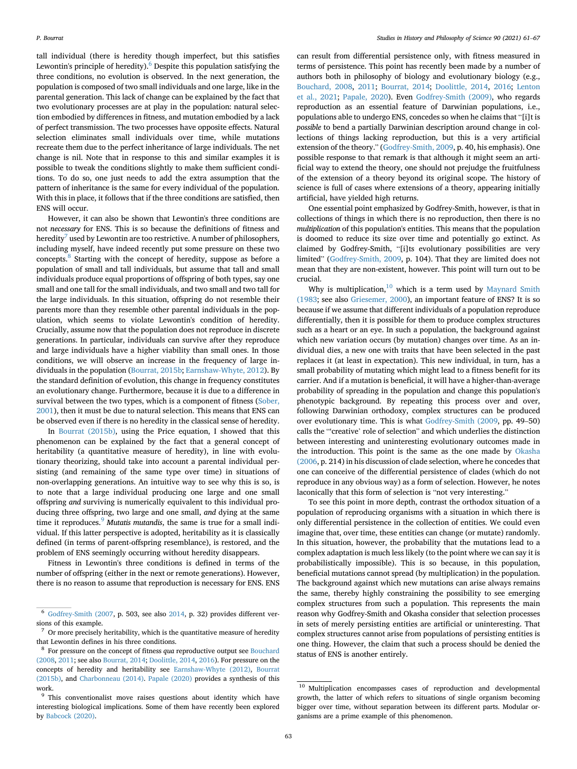tall individual (there is heredity though imperfect, but this satisfies Lewontin's principle of heredity). $6$  Despite this population satisfying the three conditions, no evolution is observed. In the next generation, the population is composed of two small individuals and one large, like in the parental generation. This lack of change can be explained by the fact that two evolutionary processes are at play in the population: natural selection embodied by differences in fitness, and mutation embodied by a lack of perfect transmission. The two processes have opposite effects. Natural selection eliminates small individuals over time, while mutations recreate them due to the perfect inheritance of large individuals. The net change is nil. Note that in response to this and similar examples it is possible to tweak the conditions slightly to make them sufficient conditions. To do so, one just needs to add the extra assumption that the pattern of inheritance is the same for every individual of the population. With this in place, it follows that if the three conditions are satisfied, then ENS will occur.

However, it can also be shown that Lewontin's three conditions are not necessary for ENS. This is so because the definitions of fitness and heredity<sup>[7](#page-2-1)</sup> used by Lewontin are too restrictive. A number of philosophers, including myself, have indeed recently put some pressure on these two concepts.[8](#page-2-2) Starting with the concept of heredity, suppose as before a population of small and tall individuals, but assume that tall and small individuals produce equal proportions of offspring of both types, say one small and one tall for the small individuals, and two small and two tall for the large individuals. In this situation, offspring do not resemble their parents more than they resemble other parental individuals in the population, which seems to violate Lewontin's condition of heredity. Crucially, assume now that the population does not reproduce in discrete generations. In particular, individuals can survive after they reproduce and large individuals have a higher viability than small ones. In those conditions, we will observe an increase in the frequency of large individuals in the population [\(Bourrat, 2015b;](#page-6-28) [Earnshaw-Whyte, 2012\)](#page-6-29). By the standard definition of evolution, this change in frequency constitutes an evolutionary change. Furthermore, because it is due to a difference in survival between the two types, which is a component of fitness ([Sober,](#page-6-30) [2001\)](#page-6-30), then it must be due to natural selection. This means that ENS can be observed even if there is no heredity in the classical sense of heredity.

In [Bourrat \(2015b\)](#page-6-28), using the Price equation, I showed that this phenomenon can be explained by the fact that a general concept of heritability (a quantitative measure of heredity), in line with evolutionary theorizing, should take into account a parental individual persisting (and remaining of the same type over time) in situations of non-overlapping generations. An intuitive way to see why this is so, is to note that a large individual producing one large and one small offspring and surviving is numerically equivalent to this individual producing three offspring, two large and one small, and dying at the same time it reproduces. $9$  Mutatis mutandis, the same is true for a small individual. If this latter perspective is adopted, heritability as it is classically defined (in terms of parent-offspring resemblance), is restored, and the problem of ENS seemingly occurring without heredity disappears.

Fitness in Lewontin's three conditions is defined in terms of the number of offspring (either in the next or remote generations). However, there is no reason to assume that reproduction is necessary for ENS. ENS

can result from differential persistence only, with fitness measured in terms of persistence. This point has recently been made by a number of authors both in philosophy of biology and evolutionary biology (e.g., [Bouchard, 2008,](#page-5-3) [2011;](#page-5-4) [Bourrat, 2014;](#page-6-15) [Doolittle, 2014,](#page-6-31) [2016;](#page-6-32) [Lenton](#page-6-33) [et al., 2021](#page-6-33); [Papale, 2020\)](#page-6-34). Even [Godfrey-Smith \(2009\),](#page-6-16) who regards reproduction as an essential feature of Darwinian populations, i.e., populations able to undergo ENS, concedes so when he claims that "[i]t is possible to bend a partially Darwinian description around change in collections of things lacking reproduction, but this is a very artificial extension of the theory." ([Godfrey-Smith, 2009](#page-6-16), p. 40, his emphasis). One possible response to that remark is that although it might seem an artificial way to extend the theory, one should not prejudge the fruitfulness of the extension of a theory beyond its original scope. The history of science is full of cases where extensions of a theory, appearing initially artificial, have yielded high returns.

One essential point emphasized by Godfrey-Smith, however, is that in collections of things in which there is no reproduction, then there is no multiplication of this population's entities. This means that the population is doomed to reduce its size over time and potentially go extinct. As claimed by Godfrey-Smith, "[i]ts evolutionary possibilities are very limited" ([Godfrey-Smith, 2009](#page-6-16), p. 104). That they are limited does not mean that they are non-existent, however. This point will turn out to be crucial.

Why is multiplication, $10$  which is a term used by [Maynard Smith](#page-6-35) [\(1983](#page-6-35); see also [Griesemer, 2000](#page-6-36)), an important feature of ENS? It is so because if we assume that different individuals of a population reproduce differentially, then it is possible for them to produce complex structures such as a heart or an eye. In such a population, the background against which new variation occurs (by mutation) changes over time. As an individual dies, a new one with traits that have been selected in the past replaces it (at least in expectation). This new individual, in turn, has a small probability of mutating which might lead to a fitness benefit for its carrier. And if a mutation is beneficial, it will have a higher-than-average probability of spreading in the population and change this population's phenotypic background. By repeating this process over and over, following Darwinian orthodoxy, complex structures can be produced over evolutionary time. This is what [Godfrey-Smith \(2009,](#page-6-16) pp. 49–50) calls the "'creative' role of selection" and which underlies the distinction between interesting and uninteresting evolutionary outcomes made in the introduction. This point is the same as the one made by [Okasha](#page-6-37) [\(2006](#page-6-37), p. 214) in his discussion of clade selection, where he concedes that one can conceive of the differential persistence of clades (which do not reproduce in any obvious way) as a form of selection. However, he notes laconically that this form of selection is "not very interesting."

To see this point in more depth, contrast the orthodox situation of a population of reproducing organisms with a situation in which there is only differential persistence in the collection of entities. We could even imagine that, over time, these entities can change (or mutate) randomly. In this situation, however, the probability that the mutations lead to a complex adaptation is much less likely (to the point where we can say it is probabilistically impossible). This is so because, in this population, beneficial mutations cannot spread (by multiplication) in the population. The background against which new mutations can arise always remains the same, thereby highly constraining the possibility to see emerging complex structures from such a population. This represents the main reason why Godfrey-Smith and Okasha consider that selection processes in sets of merely persisting entities are artificial or uninteresting. That complex structures cannot arise from populations of persisting entities is one thing. However, the claim that such a process should be denied the status of ENS is another entirely.

<span id="page-2-0"></span><sup>6</sup> [Godfrey-Smith \(2007,](#page-6-23) p. 503, see also [2014,](#page-6-38) p. 32) provides different versions of this example.

<span id="page-2-1"></span> $^7\,$  Or more precisely heritability, which is the quantitative measure of heredity that Lewontin defines in his three conditions.

<span id="page-2-2"></span><sup>&</sup>lt;sup>8</sup> For pressure on the concept of fitness *qua* reproductive output see [Bouchard](#page-5-3) [\(2008](#page-5-3), [2011](#page-5-4); see also [Bourrat, 2014](#page-6-15); [Doolittle, 2014,](#page-6-31) [2016\)](#page-6-32). For pressure on the concepts of heredity and heritability see [Earnshaw-Whyte \(2012\),](#page-6-29) [Bourrat](#page-6-28) [\(2015b\)](#page-6-28), and [Charbonneau \(2014\)](#page-6-39). [Papale \(2020\)](#page-6-34) provides a synthesis of this work.

<span id="page-2-3"></span><sup>&</sup>lt;sup>9</sup> This conventionalist move raises questions about identity which have interesting biological implications. Some of them have recently been explored by [Babcock \(2020\).](#page-5-5)

<span id="page-2-4"></span> $^{10}$  Multiplication encompasses cases of reproduction and developmental growth, the latter of which refers to situations of single organism becoming bigger over time, without separation between its different parts. Modular organisms are a prime example of this phenomenon.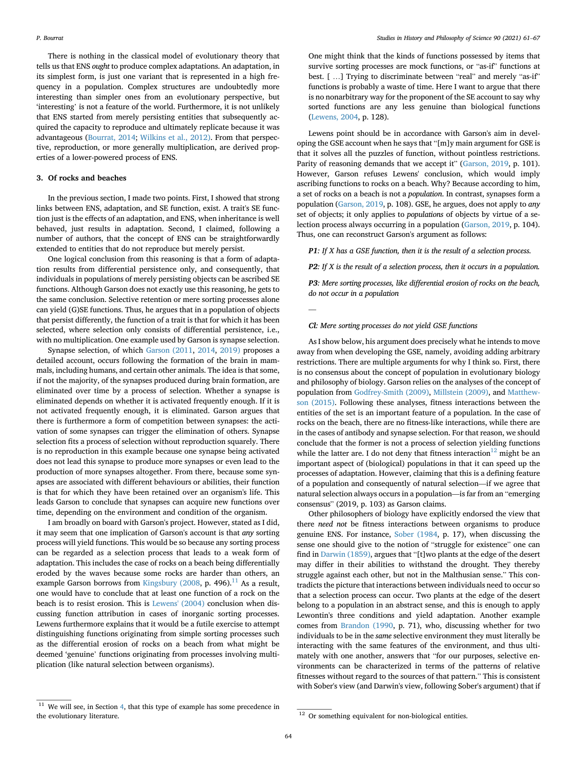There is nothing in the classical model of evolutionary theory that tells us that ENS ought to produce complex adaptations. An adaptation, in its simplest form, is just one variant that is represented in a high frequency in a population. Complex structures are undoubtedly more interesting than simpler ones from an evolutionary perspective, but 'interesting' is not a feature of the world. Furthermore, it is not unlikely that ENS started from merely persisting entities that subsequently acquired the capacity to reproduce and ultimately replicate because it was advantageous ([Bourrat, 2014;](#page-6-15) [Wilkins et al., 2012\)](#page-6-40). From that perspective, reproduction, or more generally multiplication, are derived properties of a lower-powered process of ENS.

#### <span id="page-3-0"></span>3. Of rocks and beaches

In the previous section, I made two points. First, I showed that strong links between ENS, adaptation, and SE function, exist. A trait's SE function just is the effects of an adaptation, and ENS, when inheritance is well behaved, just results in adaptation. Second, I claimed, following a number of authors, that the concept of ENS can be straightforwardly extended to entities that do not reproduce but merely persist.

One logical conclusion from this reasoning is that a form of adaptation results from differential persistence only, and consequently, that individuals in populations of merely persisting objects can be ascribed SE functions. Although Garson does not exactly use this reasoning, he gets to the same conclusion. Selective retention or mere sorting processes alone can yield (G)SE functions. Thus, he argues that in a population of objects that persist differently, the function of a trait is that for which it has been selected, where selection only consists of differential persistence, i.e., with no multiplication. One example used by Garson is synapse selection.

Synapse selection, of which [Garson \(2011](#page-6-25), [2014](#page-6-41), [2019\)](#page-6-10) proposes a detailed account, occurs following the formation of the brain in mammals, including humans, and certain other animals. The idea is that some, if not the majority, of the synapses produced during brain formation, are eliminated over time by a process of selection. Whether a synapse is eliminated depends on whether it is activated frequently enough. If it is not activated frequently enough, it is eliminated. Garson argues that there is furthermore a form of competition between synapses: the activation of some synapses can trigger the elimination of others. Synapse selection fits a process of selection without reproduction squarely. There is no reproduction in this example because one synapse being activated does not lead this synapse to produce more synapses or even lead to the production of more synapses altogether. From there, because some synapses are associated with different behaviours or abilities, their function is that for which they have been retained over an organism's life. This leads Garson to conclude that synapses can acquire new functions over time, depending on the environment and condition of the organism.

I am broadly on board with Garson's project. However, stated as I did, it may seem that one implication of Garson's account is that any sorting process will yield functions. This would be so because any sorting process can be regarded as a selection process that leads to a weak form of adaptation. This includes the case of rocks on a beach being differentially eroded by the waves because some rocks are harder than others, an example Garson borrows from [Kingsbury \(2008,](#page-6-42) p. 496). $^{11}$  As a result, one would have to conclude that at least one function of a rock on the beach is to resist erosion. This is [Lewens' \(2004\)](#page-6-43) conclusion when discussing function attribution in cases of inorganic sorting processes. Lewens furthermore explains that it would be a futile exercise to attempt distinguishing functions originating from simple sorting processes such as the differential erosion of rocks on a beach from what might be deemed 'genuine' functions originating from processes involving multiplication (like natural selection between organisms).

One might think that the kinds of functions possessed by items that survive sorting processes are mock functions, or "as-if" functions at best. [ ...] Trying to discriminate between "real" and merely "as-if" functions is probably a waste of time. Here I want to argue that there is no nonarbitrary way for the proponent of the SE account to say why sorted functions are any less genuine than biological functions ([Lewens, 2004,](#page-6-43) p. 128).

Lewens point should be in accordance with Garson's aim in developing the GSE account when he says that "[m]y main argument for GSE is that it solves all the puzzles of function, without pointless restrictions. Parity of reasoning demands that we accept it" [\(Garson, 2019](#page-6-10), p. 101). However, Garson refuses Lewens' conclusion, which would imply ascribing functions to rocks on a beach. Why? Because according to him, a set of rocks on a beach is not a population. In contrast, synapses form a population [\(Garson, 2019,](#page-6-10) p. 108). GSE, he argues, does not apply to any set of objects; it only applies to populations of objects by virtue of a selection process always occurring in a population [\(Garson, 2019](#page-6-10), p. 104). Thus, one can reconstruct Garson's argument as follows:

**P1**: If  $X$  has a GSE function, then it is the result of a selection process.

**P2:** If X is the result of a selection process, then it occurs in a population.

P3: Mere sorting processes, like differential erosion of rocks on the beach, do not occur in a population

—

#### Cl: Mere sorting processes do not yield GSE functions

As I show below, his argument does precisely what he intends to move away from when developing the GSE, namely, avoiding adding arbitrary restrictions. There are multiple arguments for why I think so. First, there is no consensus about the concept of population in evolutionary biology and philosophy of biology. Garson relies on the analyses of the concept of population from [Godfrey-Smith \(2009\),](#page-6-16) [Millstein \(2009\)](#page-6-18), and [Matthew](#page-6-17)[son \(2015\).](#page-6-17) Following these analyses, fitness interactions between the entities of the set is an important feature of a population. In the case of rocks on the beach, there are no fitness-like interactions, while there are in the cases of antibody and synapse selection. For that reason, we should conclude that the former is not a process of selection yielding functions while the latter are. I do not deny that fitness interaction<sup>[12](#page-3-2)</sup> might be an important aspect of (biological) populations in that it can speed up the processes of adaptation. However, claiming that this is a defining feature of a population and consequently of natural selection—if we agree that natural selection always occurs in a population—is far from an "emerging consensus" (2019, p. 103) as Garson claims.

Other philosophers of biology have explicitly endorsed the view that there need not be fitness interactions between organisms to produce genuine ENS. For instance, [Sober \(1984,](#page-6-44) p. 17), when discussing the sense one should give to the notion of "struggle for existence" one can find in [Darwin \(1859\),](#page-6-24) argues that "[t]wo plants at the edge of the desert may differ in their abilities to withstand the drought. They thereby struggle against each other, but not in the Malthusian sense." This contradicts the picture that interactions between individuals need to occur so that a selection process can occur. Two plants at the edge of the desert belong to a population in an abstract sense, and this is enough to apply Lewontin's three conditions and yield adaptation. Another example comes from [Brandon \(1990,](#page-6-45) p. 71), who, discussing whether for two individuals to be in the same selective environment they must literally be interacting with the same features of the environment, and thus ultimately with one another, answers that "for our purposes, selective environments can be characterized in terms of the patterns of relative fitnesses without regard to the sources of that pattern." This is consistent with Sober's view (and Darwin's view, following Sober's argument) that if

<span id="page-3-1"></span> $11$  We will see, in Section [4,](#page-4-0) that this type of example has some precedence in the evolutionary literature. 12 Or something equivalent for non-biological entities.

<span id="page-3-2"></span>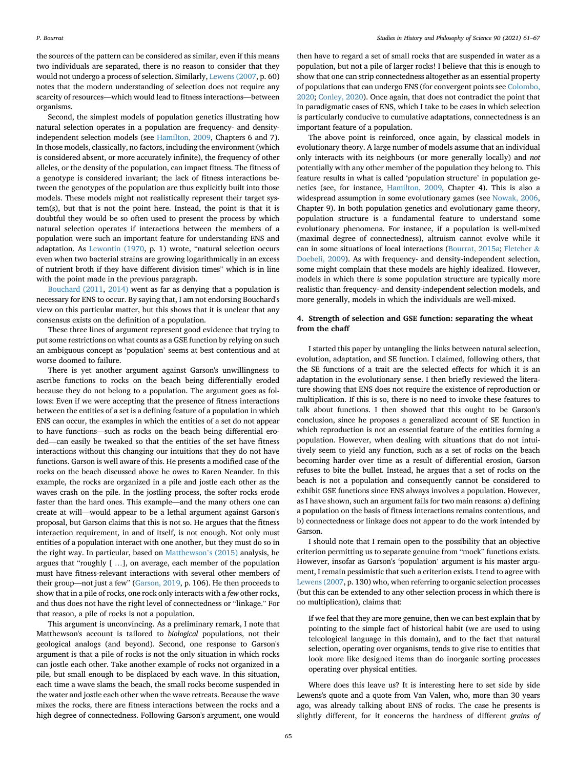the sources of the pattern can be considered as similar, even if this means two individuals are separated, there is no reason to consider that they would not undergo a process of selection. Similarly, [Lewens \(2007,](#page-6-46) p. 60) notes that the modern understanding of selection does not require any scarcity of resources—which would lead to fitness interactions—between organisms.

Second, the simplest models of population genetics illustrating how natural selection operates in a population are frequency- and densityindependent selection models (see [Hamilton, 2009,](#page-6-47) Chapters 6 and 7). In those models, classically, no factors, including the environment (which is considered absent, or more accurately infinite), the frequency of other alleles, or the density of the population, can impact fitness. The fitness of a genotype is considered invariant; the lack of fitness interactions between the genotypes of the population are thus explicitly built into those models. These models might not realistically represent their target system(s), but that is not the point here. Instead, the point is that it is doubtful they would be so often used to present the process by which natural selection operates if interactions between the members of a population were such an important feature for understanding ENS and adaptation. As [Lewontin \(1970,](#page-6-48) p. 1) wrote, "natural selection occurs even when two bacterial strains are growing logarithmically in an excess of nutrient broth if they have different division times" which is in line with the point made in the previous paragraph.

[Bouchard \(2011,](#page-5-4) [2014\)](#page-5-1) went as far as denying that a population is necessary for ENS to occur. By saying that, I am not endorsing Bouchard's view on this particular matter, but this shows that it is unclear that any consensus exists on the definition of a population.

These three lines of argument represent good evidence that trying to put some restrictions on what counts as a GSE function by relying on such an ambiguous concept as 'population' seems at best contentious and at worse doomed to failure.

There is yet another argument against Garson's unwillingness to ascribe functions to rocks on the beach being differentially eroded because they do not belong to a population. The argument goes as follows: Even if we were accepting that the presence of fitness interactions between the entities of a set is a defining feature of a population in which ENS can occur, the examples in which the entities of a set do not appear to have functions—such as rocks on the beach being differential eroded—can easily be tweaked so that the entities of the set have fitness interactions without this changing our intuitions that they do not have functions. Garson is well aware of this. He presents a modified case of the rocks on the beach discussed above he owes to Karen Neander. In this example, the rocks are organized in a pile and jostle each other as the waves crash on the pile. In the jostling process, the softer rocks erode faster than the hard ones. This example—and the many others one can create at will—would appear to be a lethal argument against Garson's proposal, but Garson claims that this is not so. He argues that the fitness interaction requirement, in and of itself, is not enough. Not only must entities of a population interact with one another, but they must do so in the right way. In particular, based on [Matthewson](#page-6-17)'s (2015) analysis, he argues that "roughly [ …], on average, each member of the population must have fitness-relevant interactions with several other members of their group—not just a few" ([Garson, 2019](#page-6-10), p. 106). He then proceeds to show that in a pile of rocks, one rock only interacts with a few other rocks, and thus does not have the right level of connectedness or "linkage." For that reason, a pile of rocks is not a population.

This argument is unconvincing. As a preliminary remark, I note that Matthewson's account is tailored to biological populations, not their geological analogs (and beyond). Second, one response to Garson's argument is that a pile of rocks is not the only situation in which rocks can jostle each other. Take another example of rocks not organized in a pile, but small enough to be displaced by each wave. In this situation, each time a wave slams the beach, the small rocks become suspended in the water and jostle each other when the wave retreats. Because the wave mixes the rocks, there are fitness interactions between the rocks and a high degree of connectedness. Following Garson's argument, one would

then have to regard a set of small rocks that are suspended in water as a population, but not a pile of larger rocks! I believe that this is enough to show that one can strip connectedness altogether as an essential property of populations that can undergo ENS (for convergent points see [Colombo,](#page-6-49) [2020;](#page-6-49) [Conley, 2020](#page-6-50)). Once again, that does not contradict the point that in paradigmatic cases of ENS, which I take to be cases in which selection is particularly conducive to cumulative adaptations, connectedness is an important feature of a population.

The above point is reinforced, once again, by classical models in evolutionary theory. A large number of models assume that an individual only interacts with its neighbours (or more generally locally) and not potentially with any other member of the population they belong to. This feature results in what is called 'population structure' in population genetics (see, for instance, [Hamilton, 2009](#page-6-47), Chapter 4). This is also a widespread assumption in some evolutionary games (see [Nowak, 2006,](#page-6-51) Chapter 9). In both population genetics and evolutionary game theory, population structure is a fundamental feature to understand some evolutionary phenomena. For instance, if a population is well-mixed (maximal degree of connectedness), altruism cannot evolve while it can in some situations of local interactions ([Bourrat, 2015a;](#page-6-52) [Fletcher](#page-6-53) & [Doebeli, 2009](#page-6-53)). As with frequency- and density-independent selection, some might complain that these models are highly idealized. However, models in which there is some population structure are typically more realistic than frequency- and density-independent selection models, and more generally, models in which the individuals are well-mixed.

#### <span id="page-4-0"></span>4. Strength of selection and GSE function: separating the wheat from the chaff

I started this paper by untangling the links between natural selection, evolution, adaptation, and SE function. I claimed, following others, that the SE functions of a trait are the selected effects for which it is an adaptation in the evolutionary sense. I then briefly reviewed the literature showing that ENS does not require the existence of reproduction or multiplication. If this is so, there is no need to invoke these features to talk about functions. I then showed that this ought to be Garson's conclusion, since he proposes a generalized account of SE function in which reproduction is not an essential feature of the entities forming a population. However, when dealing with situations that do not intuitively seem to yield any function, such as a set of rocks on the beach becoming harder over time as a result of differential erosion, Garson refuses to bite the bullet. Instead, he argues that a set of rocks on the beach is not a population and consequently cannot be considered to exhibit GSE functions since ENS always involves a population. However, as I have shown, such an argument fails for two main reasons: a) defining a population on the basis of fitness interactions remains contentious, and b) connectedness or linkage does not appear to do the work intended by Garson.

I should note that I remain open to the possibility that an objective criterion permitting us to separate genuine from "mock" functions exists. However, insofar as Garson's 'population' argument is his master argument, I remain pessimistic that such a criterion exists. I tend to agree with [Lewens \(2007,](#page-6-46) p. 130) who, when referring to organic selection processes (but this can be extended to any other selection process in which there is no multiplication), claims that:

If we feel that they are more genuine, then we can best explain that by pointing to the simple fact of historical habit (we are used to using teleological language in this domain), and to the fact that natural selection, operating over organisms, tends to give rise to entities that look more like designed items than do inorganic sorting processes operating over physical entities.

Where does this leave us? It is interesting here to set side by side Lewens's quote and a quote from Van Valen, who, more than 30 years ago, was already talking about ENS of rocks. The case he presents is slightly different, for it concerns the hardness of different grains of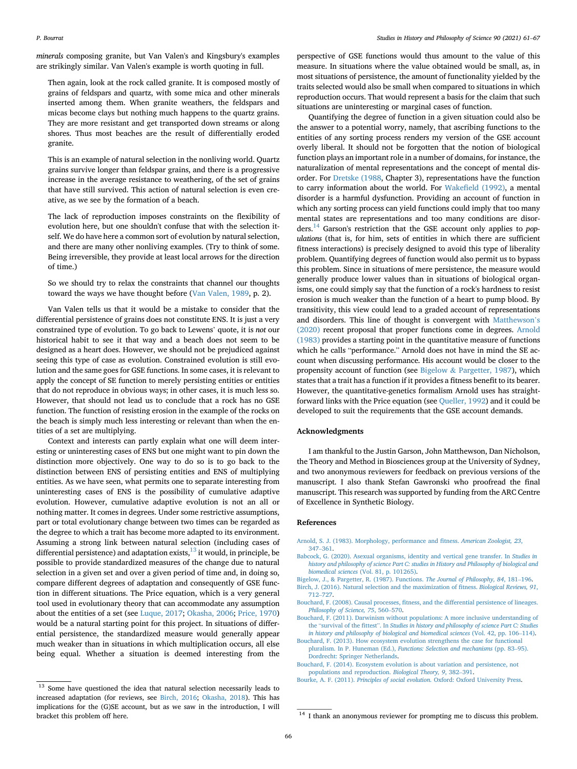minerals composing granite, but Van Valen's and Kingsbury's examples are strikingly similar. Van Valen's example is worth quoting in full.

Then again, look at the rock called granite. It is composed mostly of grains of feldspars and quartz, with some mica and other minerals inserted among them. When granite weathers, the feldspars and micas become clays but nothing much happens to the quartz grains. They are more resistant and get transported down streams or along shores. Thus most beaches are the result of differentially eroded granite.

This is an example of natural selection in the nonliving world. Quartz grains survive longer than feldspar grains, and there is a progressive increase in the average resistance to weathering, of the set of grains that have still survived. This action of natural selection is even creative, as we see by the formation of a beach.

The lack of reproduction imposes constraints on the flexibility of evolution here, but one shouldn't confuse that with the selection itself. We do have here a common sort of evolution by natural selection, and there are many other nonliving examples. (Try to think of some. Being irreversible, they provide at least local arrows for the direction of time.)

So we should try to relax the constraints that channel our thoughts toward the ways we have thought before ([Van Valen, 1989,](#page-6-54) p. 2).

Van Valen tells us that it would be a mistake to consider that the differential persistence of grains does not constitute ENS. It is just a very constrained type of evolution. To go back to Lewens' quote, it is not our historical habit to see it that way and a beach does not seem to be designed as a heart does. However, we should not be prejudiced against seeing this type of case as evolution. Constrained evolution is still evolution and the same goes for GSE functions. In some cases, it is relevant to apply the concept of SE function to merely persisting entities or entities that do not reproduce in obvious ways; in other cases, it is much less so. However, that should not lead us to conclude that a rock has no GSE function. The function of resisting erosion in the example of the rocks on the beach is simply much less interesting or relevant than when the entities of a set are multiplying.

Context and interests can partly explain what one will deem interesting or uninteresting cases of ENS but one might want to pin down the distinction more objectively. One way to do so is to go back to the distinction between ENS of persisting entities and ENS of multiplying entities. As we have seen, what permits one to separate interesting from uninteresting cases of ENS is the possibility of cumulative adaptive evolution. However, cumulative adaptive evolution is not an all or nothing matter. It comes in degrees. Under some restrictive assumptions, part or total evolutionary change between two times can be regarded as the degree to which a trait has become more adapted to its environment. Assuming a strong link between natural selection (including cases of differential persistence) and adaptation exists, $^{13}$  it would, in principle, be possible to provide standardized measures of the change due to natural selection in a given set and over a given period of time and, in doing so, compare different degrees of adaptation and consequently of GSE function in different situations. The Price equation, which is a very general tool used in evolutionary theory that can accommodate any assumption about the entities of a set (see [Luque, 2017;](#page-6-55) [Okasha, 2006](#page-6-37); [Price, 1970\)](#page-6-56) would be a natural starting point for this project. In situations of differential persistence, the standardized measure would generally appear much weaker than in situations in which multiplication occurs, all else being equal. Whether a situation is deemed interesting from the perspective of GSE functions would thus amount to the value of this measure. In situations where the value obtained would be small, as, in most situations of persistence, the amount of functionality yielded by the traits selected would also be small when compared to situations in which reproduction occurs. That would represent a basis for the claim that such situations are uninteresting or marginal cases of function.

Quantifying the degree of function in a given situation could also be the answer to a potential worry, namely, that ascribing functions to the entities of any sorting process renders my version of the GSE account overly liberal. It should not be forgotten that the notion of biological function plays an important role in a number of domains, for instance, the naturalization of mental representations and the concept of mental disorder. For [Dretske \(1988,](#page-6-57) Chapter 3), representations have the function to carry information about the world. For Wakefi[eld \(1992\)](#page-6-58), a mental disorder is a harmful dysfunction. Providing an account of function in which any sorting process can yield functions could imply that too many mental states are representations and too many conditions are disorders.<sup>14</sup> Garson's restriction that the GSE account only applies to *pop*ulations (that is, for him, sets of entities in which there are sufficient fitness interactions) is precisely designed to avoid this type of liberality problem. Quantifying degrees of function would also permit us to bypass this problem. Since in situations of mere persistence, the measure would generally produce lower values than in situations of biological organisms, one could simply say that the function of a rock's hardness to resist erosion is much weaker than the function of a heart to pump blood. By transitivity, this view could lead to a graded account of representations and disorders. This line of thought is convergent with [Matthewson](#page-6-59)'s [\(2020\)](#page-6-59) recent proposal that proper functions come in degrees. [Arnold](#page-5-8) [\(1983\)](#page-5-8) provides a starting point in the quantitative measure of functions which he calls "performance." Arnold does not have in mind the SE account when discussing performance. His account would be closer to the propensity account of function (see [Bigelow](#page-5-9) & [Pargetter, 1987](#page-5-9)), which states that a trait has a function if it provides a fitness benefit to its bearer. However, the quantitative-genetics formalism Arnold uses has straightforward links with the Price equation (see [Queller, 1992](#page-6-60)) and it could be developed to suit the requirements that the GSE account demands.

#### Acknowledgments

I am thankful to the Justin Garson, John Matthewson, Dan Nicholson, the Theory and Method in Biosciences group at the University of Sydney, and two anonymous reviewers for feedback on previous versions of the manuscript. I also thank Stefan Gawronski who proofread the final manuscript. This research was supported by funding from the ARC Centre of Excellence in Synthetic Biology.

#### References

- <span id="page-5-8"></span>[Arnold, S. J. \(1983\). Morphology, performance and](http://refhub.elsevier.com/S0039-3681(21)00141-2/sref1) fitness. American Zoologist, 23, [347](http://refhub.elsevier.com/S0039-3681(21)00141-2/sref1)–[361](http://refhub.elsevier.com/S0039-3681(21)00141-2/sref1).
- <span id="page-5-5"></span>[Babcock, G. \(2020\). Asexual organisms, identity and vertical gene transfer. In](http://refhub.elsevier.com/S0039-3681(21)00141-2/sref2) Studies in [history and philosophy of science Part C: studies in History and Philosophy of biological and](http://refhub.elsevier.com/S0039-3681(21)00141-2/sref2) biomedical sciences [\(Vol. 81, p. 101265\).](http://refhub.elsevier.com/S0039-3681(21)00141-2/sref2)
- <span id="page-5-10"></span><span id="page-5-9"></span>[Bigelow, J., & Pargetter, R. \(1987\). Functions.](http://refhub.elsevier.com/S0039-3681(21)00141-2/sref3) The Journal of Philosophy, 84, 181–[196.](http://refhub.elsevier.com/S0039-3681(21)00141-2/sref3) [Birch, J. \(2016\). Natural selection and the maximization of](http://refhub.elsevier.com/S0039-3681(21)00141-2/sref4) fitness. Biological Reviews, 91, [712](http://refhub.elsevier.com/S0039-3681(21)00141-2/sref4)–[727](http://refhub.elsevier.com/S0039-3681(21)00141-2/sref4).
- <span id="page-5-3"></span>Bouchard, F. (2008). Causal processes, fi[tness, and the differential persistence of lineages.](http://refhub.elsevier.com/S0039-3681(21)00141-2/sref5) [Philosophy of Science, 75](http://refhub.elsevier.com/S0039-3681(21)00141-2/sref5), 560–[570](http://refhub.elsevier.com/S0039-3681(21)00141-2/sref5).
- <span id="page-5-4"></span>[Bouchard, F. \(2011\). Darwinism without populations: A more inclusive understanding of](http://refhub.elsevier.com/S0039-3681(21)00141-2/sref6) the "survival of the fittest". In [Studies in history and philosophy of science Part C: Studies](http://refhub.elsevier.com/S0039-3681(21)00141-2/sref6) [in history and philosophy of biological and biomedical sciences](http://refhub.elsevier.com/S0039-3681(21)00141-2/sref6) (Vol. 42, pp. 106–[114\)](http://refhub.elsevier.com/S0039-3681(21)00141-2/sref6).
- <span id="page-5-2"></span>[Bouchard, F. \(2013\). How ecosystem evolution strengthens the case for functional](http://refhub.elsevier.com/S0039-3681(21)00141-2/sref7) pluralism. In P. Huneman (Ed.), [Functions: Selection and mechanisms](http://refhub.elsevier.com/S0039-3681(21)00141-2/sref7) (pp. 83–[95\).](http://refhub.elsevier.com/S0039-3681(21)00141-2/sref7) [Dordrecht: Springer Netherlands](http://refhub.elsevier.com/S0039-3681(21)00141-2/sref7).
- <span id="page-5-1"></span>[Bouchard, F. \(2014\). Ecosystem evolution is about variation and persistence, not](http://refhub.elsevier.com/S0039-3681(21)00141-2/sref8) [populations and reproduction.](http://refhub.elsevier.com/S0039-3681(21)00141-2/sref8) Biological Theory, 9, 382–[391](http://refhub.elsevier.com/S0039-3681(21)00141-2/sref8).

<span id="page-5-0"></span>Bourke, A. F. (2011). Principles of social evolution[. Oxford: Oxford University Press.](http://refhub.elsevier.com/S0039-3681(21)00141-2/sref9)

<span id="page-5-6"></span><sup>&</sup>lt;sup>13</sup> Some have questioned the idea that natural selection necessarily leads to increased adaptation (for reviews, see [Birch, 2016](#page-5-10); [Okasha, 2018](#page-6-61)). This has implications for the (G)SE account, but as we saw in the introduction, I will bracket this problem off here. 14 I thank an anonymous reviewer for prompting me to discuss this problem.

<span id="page-5-7"></span>